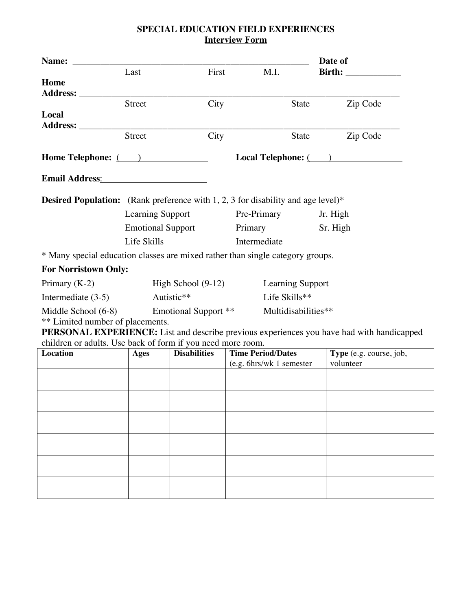## **SPECIAL EDUCATION FIELD EXPERIENCES Interview Form**

| Name:                                                                                                                                                    |                                                    |                     |                          | Date of                 |  |  |  |
|----------------------------------------------------------------------------------------------------------------------------------------------------------|----------------------------------------------------|---------------------|--------------------------|-------------------------|--|--|--|
|                                                                                                                                                          | Last                                               | First               | M.I.                     |                         |  |  |  |
| Home                                                                                                                                                     |                                                    |                     |                          |                         |  |  |  |
| Address: _____                                                                                                                                           | Street                                             | City                |                          | State<br>Zip Code       |  |  |  |
| Local                                                                                                                                                    |                                                    |                     |                          |                         |  |  |  |
| Address: ________                                                                                                                                        |                                                    |                     |                          |                         |  |  |  |
|                                                                                                                                                          | <b>Street</b>                                      | City                |                          | State<br>Zip Code       |  |  |  |
|                                                                                                                                                          | Home Telephone: (2008)                             |                     |                          | Local Telephone: ( )    |  |  |  |
| Email Address: No. 1998. Email Address:                                                                                                                  |                                                    |                     |                          |                         |  |  |  |
| <b>Desired Population:</b> (Rank preference with 1, 2, 3 for disability and age level)*                                                                  |                                                    |                     |                          |                         |  |  |  |
|                                                                                                                                                          | Learning Support                                   |                     | Pre-Primary              | Jr. High                |  |  |  |
|                                                                                                                                                          | <b>Emotional Support</b>                           |                     | Primary                  | Sr. High                |  |  |  |
|                                                                                                                                                          | Life Skills<br>Intermediate                        |                     |                          |                         |  |  |  |
| * Many special education classes are mixed rather than single category groups.                                                                           |                                                    |                     |                          |                         |  |  |  |
| <b>For Norristown Only:</b>                                                                                                                              |                                                    |                     |                          |                         |  |  |  |
| Primary $(K-2)$                                                                                                                                          | High School $(9-12)$<br><b>Learning Support</b>    |                     |                          |                         |  |  |  |
| Intermediate $(3-5)$                                                                                                                                     | Autistic**<br>Life Skills**                        |                     |                          |                         |  |  |  |
| Middle School (6-8)                                                                                                                                      | Multidisabilities**<br><b>Emotional Support **</b> |                     |                          |                         |  |  |  |
| ** Limited number of placements.                                                                                                                         |                                                    |                     |                          |                         |  |  |  |
| PERSONAL EXPERIENCE: List and describe previous experiences you have had with handicapped<br>children or adults. Use back of form if you need more room. |                                                    |                     |                          |                         |  |  |  |
| Location                                                                                                                                                 | Ages                                               | <b>Disabilities</b> | <b>Time Period/Dates</b> | Type (e.g. course, job, |  |  |  |
|                                                                                                                                                          |                                                    |                     | (e.g. 6hrs/wk 1 semester | volunteer               |  |  |  |
|                                                                                                                                                          |                                                    |                     |                          |                         |  |  |  |
|                                                                                                                                                          |                                                    |                     |                          |                         |  |  |  |
|                                                                                                                                                          |                                                    |                     |                          |                         |  |  |  |
|                                                                                                                                                          |                                                    |                     |                          |                         |  |  |  |
|                                                                                                                                                          |                                                    |                     |                          |                         |  |  |  |
|                                                                                                                                                          |                                                    |                     |                          |                         |  |  |  |
|                                                                                                                                                          |                                                    |                     |                          |                         |  |  |  |
|                                                                                                                                                          |                                                    |                     |                          |                         |  |  |  |
|                                                                                                                                                          |                                                    |                     |                          |                         |  |  |  |
|                                                                                                                                                          |                                                    |                     |                          |                         |  |  |  |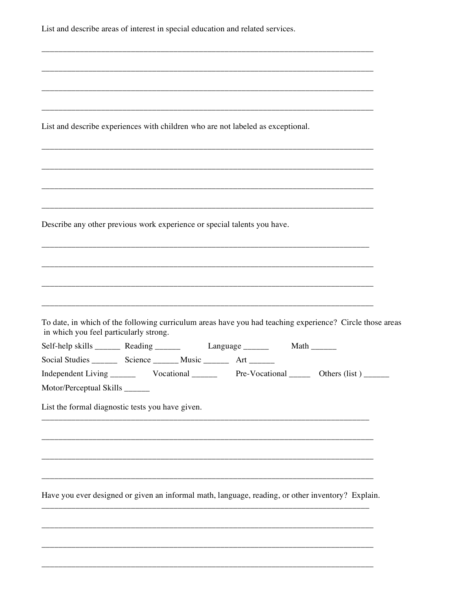| List and describe areas of interest in special education and related services. |                                                                                                   |  |  |                                                                                                          |  |
|--------------------------------------------------------------------------------|---------------------------------------------------------------------------------------------------|--|--|----------------------------------------------------------------------------------------------------------|--|
|                                                                                |                                                                                                   |  |  |                                                                                                          |  |
|                                                                                |                                                                                                   |  |  |                                                                                                          |  |
|                                                                                |                                                                                                   |  |  |                                                                                                          |  |
|                                                                                | List and describe experiences with children who are not labeled as exceptional.                   |  |  |                                                                                                          |  |
|                                                                                |                                                                                                   |  |  |                                                                                                          |  |
|                                                                                | Describe any other previous work experience or special talents you have.                          |  |  |                                                                                                          |  |
|                                                                                |                                                                                                   |  |  |                                                                                                          |  |
|                                                                                |                                                                                                   |  |  |                                                                                                          |  |
|                                                                                |                                                                                                   |  |  |                                                                                                          |  |
| in which you feel particularly strong.                                         |                                                                                                   |  |  | To date, in which of the following curriculum areas have you had teaching experience? Circle those areas |  |
|                                                                                | Self-help skills ________ Reading ________ Language _______ Math ______                           |  |  |                                                                                                          |  |
|                                                                                | Social Studies __________ Science _________ Music __________ Art _______                          |  |  |                                                                                                          |  |
|                                                                                |                                                                                                   |  |  | Pre-Vocational ________ Others (list) _______                                                            |  |
| Motor/Perceptual Skills ______                                                 |                                                                                                   |  |  |                                                                                                          |  |
|                                                                                | List the formal diagnostic tests you have given.                                                  |  |  |                                                                                                          |  |
|                                                                                |                                                                                                   |  |  |                                                                                                          |  |
|                                                                                |                                                                                                   |  |  |                                                                                                          |  |
|                                                                                |                                                                                                   |  |  |                                                                                                          |  |
|                                                                                |                                                                                                   |  |  |                                                                                                          |  |
|                                                                                | Have you ever designed or given an informal math, language, reading, or other inventory? Explain. |  |  |                                                                                                          |  |
|                                                                                |                                                                                                   |  |  |                                                                                                          |  |
|                                                                                |                                                                                                   |  |  |                                                                                                          |  |
|                                                                                |                                                                                                   |  |  |                                                                                                          |  |